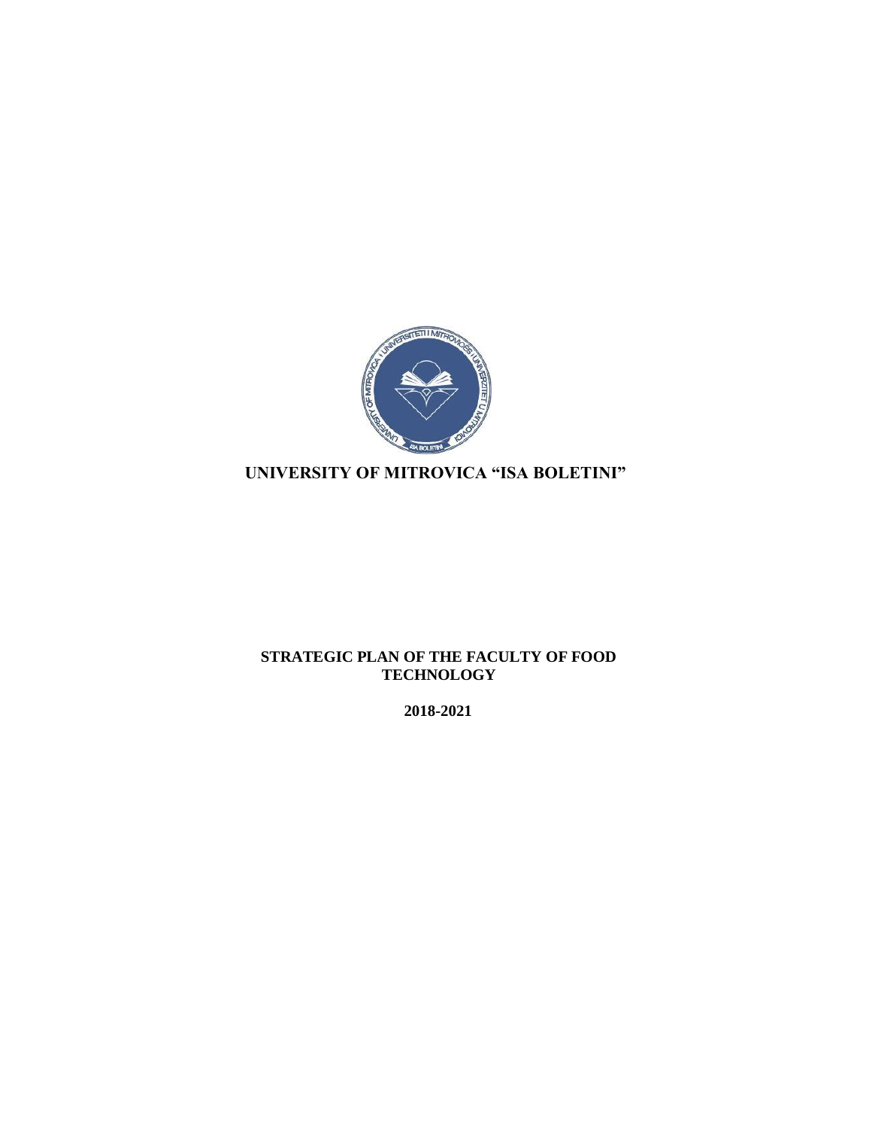

# **UNIVERSITY OF MITROVICA "ISA BOLETINI"**

### **STRATEGIC PLAN OF THE FACULTY OF FOOD TECHNOLOGY**

**2018-2021**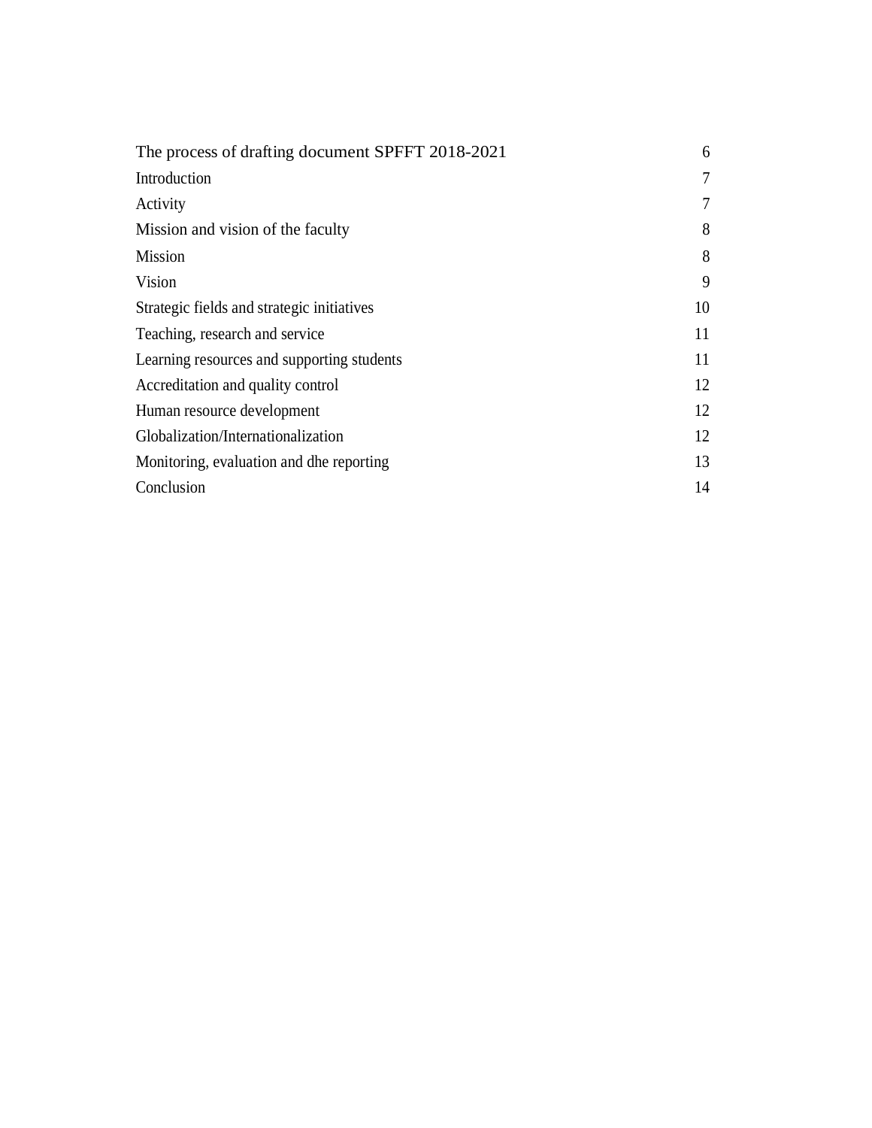| The process of drafting document SPFFT 2018-2021 | 6  |
|--------------------------------------------------|----|
| Introduction                                     | 7  |
| Activity                                         | 7  |
| Mission and vision of the faculty                | 8  |
| Mission                                          | 8  |
| Vision                                           | 9  |
| Strategic fields and strategic initiatives       | 10 |
| Teaching, research and service                   | 11 |
| Learning resources and supporting students       | 11 |
| Accreditation and quality control                | 12 |
| Human resource development                       | 12 |
| Globalization/Internationalization               | 12 |
| Monitoring, evaluation and dhe reporting         | 13 |
| Conclusion                                       | 14 |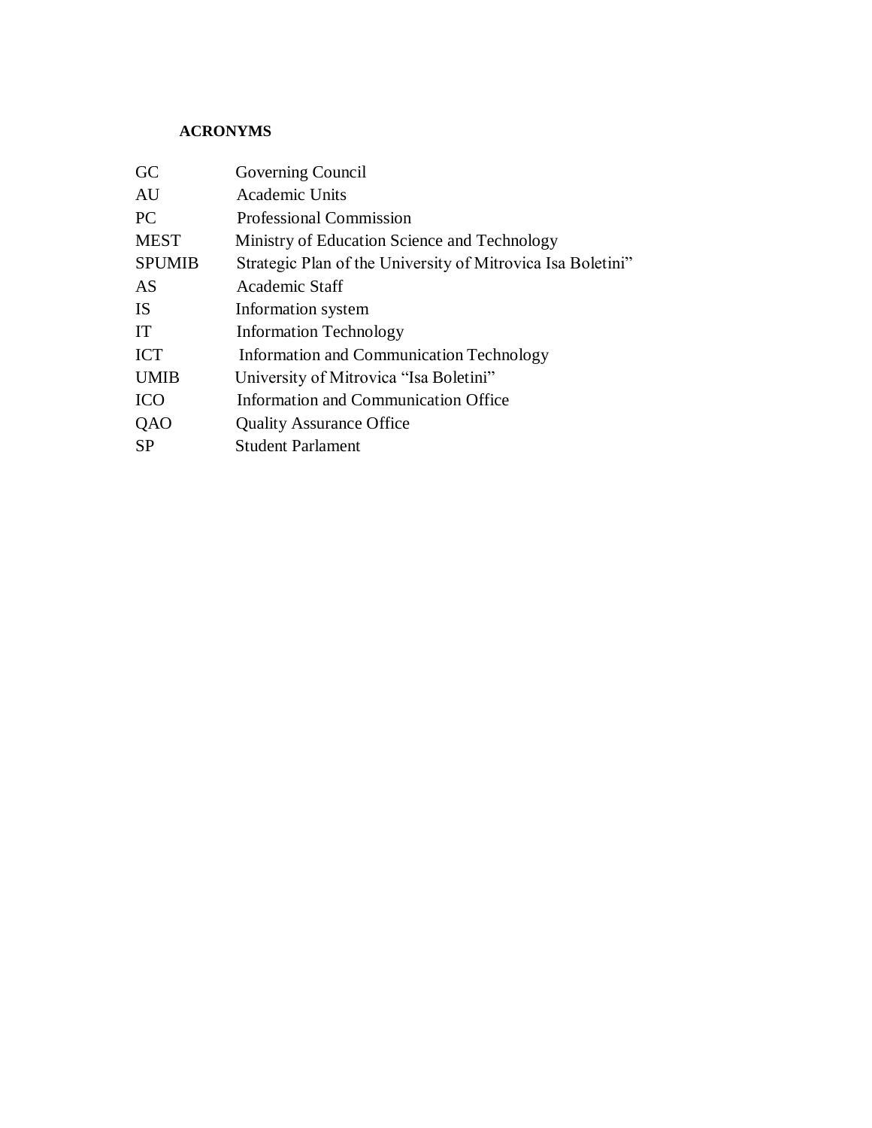### **ACRONYMS**

| GC            | Governing Council                                           |
|---------------|-------------------------------------------------------------|
| AU            | Academic Units                                              |
| PC            | <b>Professional Commission</b>                              |
| <b>MEST</b>   | Ministry of Education Science and Technology                |
| <b>SPUMIB</b> | Strategic Plan of the University of Mitrovica Isa Boletini" |
| AS            | Academic Staff                                              |
| <b>IS</b>     | Information system                                          |
| IT            | <b>Information Technology</b>                               |
| <b>ICT</b>    | <b>Information and Communication Technology</b>             |
| <b>UMIB</b>   | University of Mitrovica "Isa Boletini"                      |
| <b>ICO</b>    | Information and Communication Office                        |
| QAO           | <b>Quality Assurance Office</b>                             |
| <b>SP</b>     | <b>Student Parlament</b>                                    |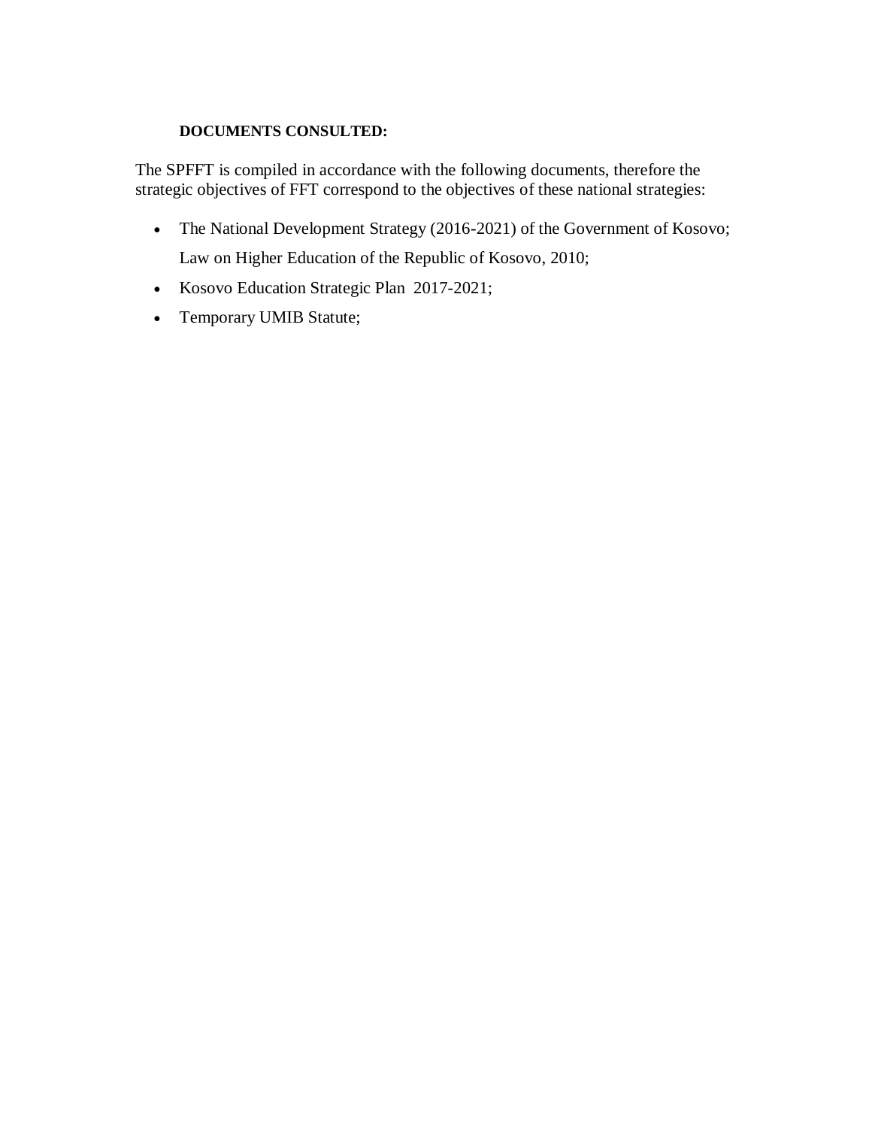# **DOCUMENTS CONSULTED:**

The SPFFT is compiled in accordance with the following documents, therefore the strategic objectives of FFT correspond to the objectives of these national strategies:

- The National Development Strategy (2016-2021) of the Government of Kosovo; Law on Higher Education of the Republic of Kosovo, 2010;
- Kosovo Education Strategic Plan 2017-2021;
- Temporary UMIB Statute;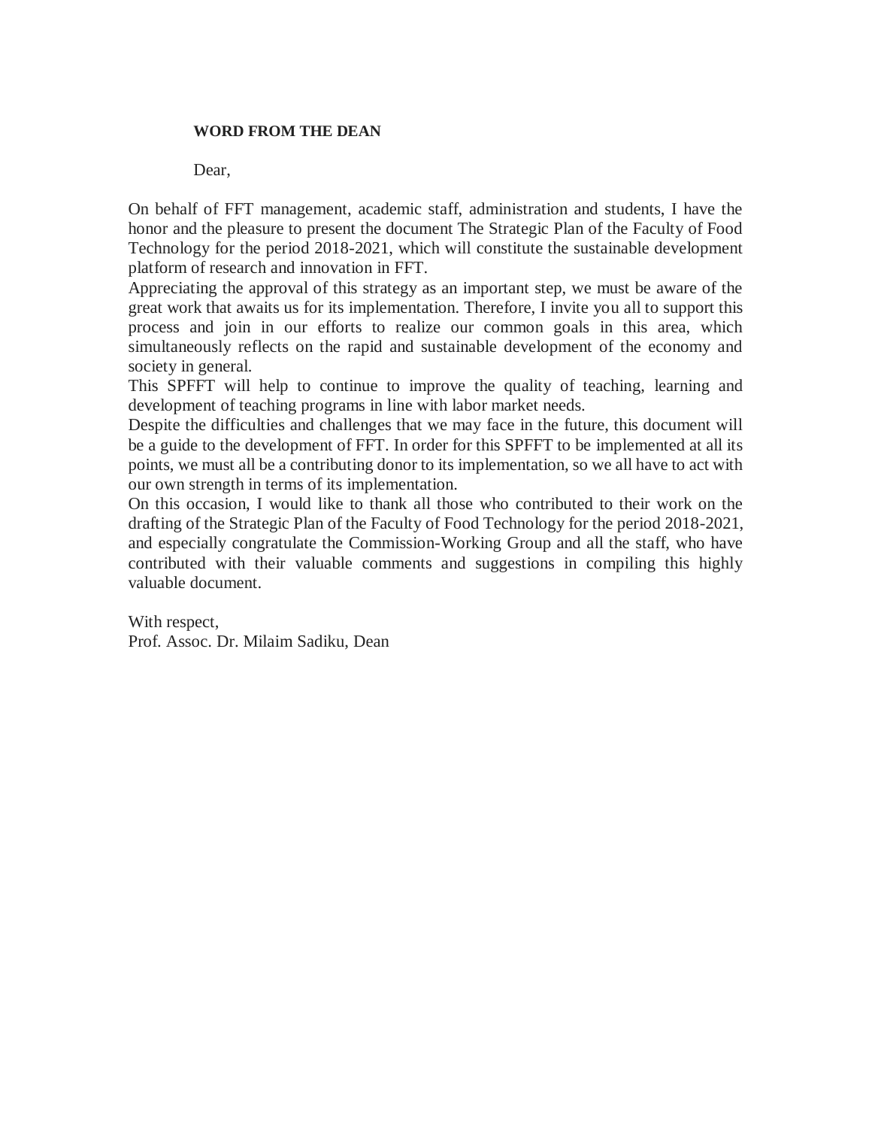#### **WORD FROM THE DEAN**

Dear,

On behalf of FFT management, academic staff, administration and students, I have the honor and the pleasure to present the document The Strategic Plan of the Faculty of Food Technology for the period 2018-2021, which will constitute the sustainable development platform of research and innovation in FFT.

Appreciating the approval of this strategy as an important step, we must be aware of the great work that awaits us for its implementation. Therefore, I invite you all to support this process and join in our efforts to realize our common goals in this area, which simultaneously reflects on the rapid and sustainable development of the economy and society in general.

This SPFFT will help to continue to improve the quality of teaching, learning and development of teaching programs in line with labor market needs.

Despite the difficulties and challenges that we may face in the future, this document will be a guide to the development of FFT. In order for this SPFFT to be implemented at all its points, we must all be a contributing donor to its implementation, so we all have to act with our own strength in terms of its implementation.

On this occasion, I would like to thank all those who contributed to their work on the drafting of the Strategic Plan of the Faculty of Food Technology for the period 2018-2021, and especially congratulate the Commission-Working Group and all the staff, who have contributed with their valuable comments and suggestions in compiling this highly valuable document.

With respect, Prof. Assoc. Dr. Milaim Sadiku, Dean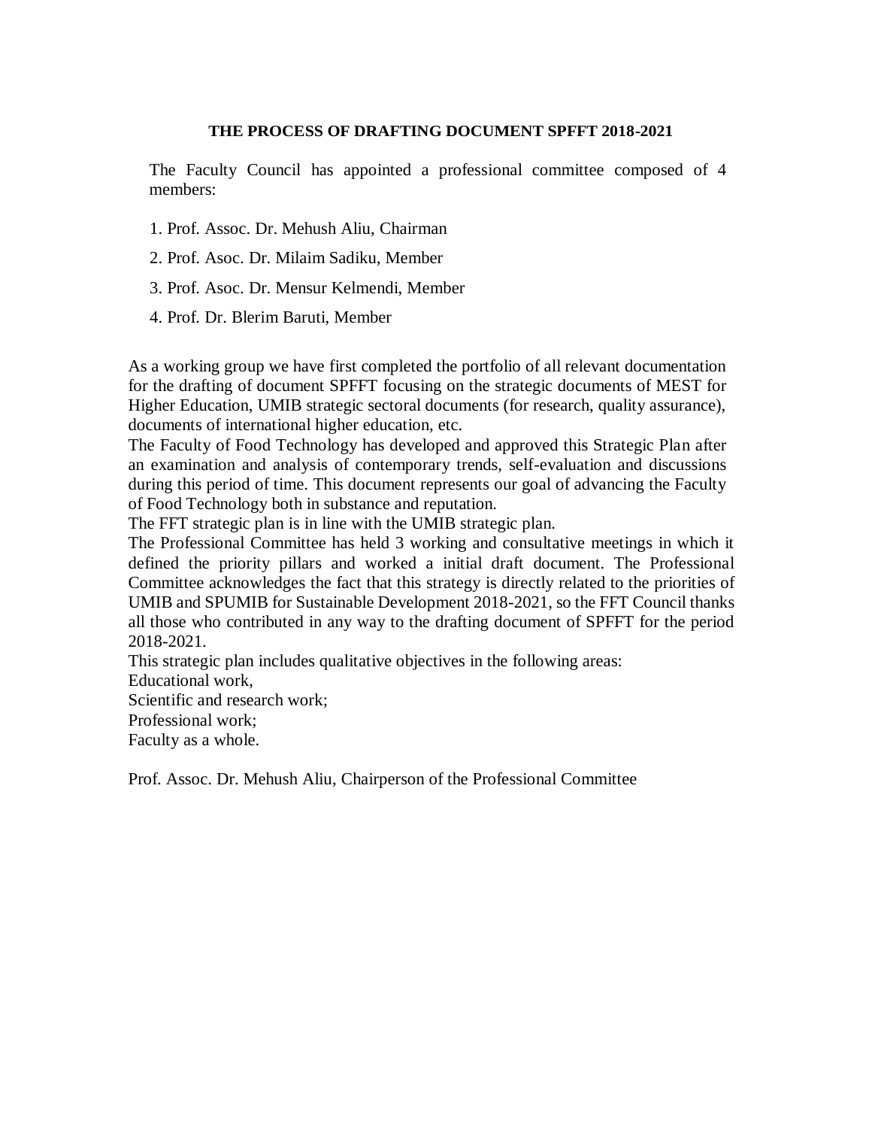#### **THE PROCESS OF DRAFTING DOCUMENT SPFFT 2018-2021**

The Faculty Council has appointed a professional committee composed of 4 members:

- 1. Prof. Assoc. Dr. Mehush Aliu, Chairman
- 2. Prof. Asoc. Dr. Milaim Sadiku, Member
- 3. Prof. Asoc. Dr. Mensur Kelmendi, Member
- 4. Prof. Dr. Blerim Baruti, Member

As a working group we have first completed the portfolio of all relevant documentation for the drafting of document SPFFT focusing on the strategic documents of MEST for Higher Education, UMIB strategic sectoral documents (for research, quality assurance), documents of international higher education, etc.

The Faculty of Food Technology has developed and approved this Strategic Plan after an examination and analysis of contemporary trends, self-evaluation and discussions during this period of time. This document represents our goal of advancing the Faculty of Food Technology both in substance and reputation.

The FFT strategic plan is in line with the UMIB strategic plan.

The Professional Committee has held 3 working and consultative meetings in which it defined the priority pillars and worked a initial draft document. The Professional Committee acknowledges the fact that this strategy is directly related to the priorities of UMIB and SPUMIB for Sustainable Development 2018-2021, so the FFT Council thanks all those who contributed in any way to the drafting document of SPFFT for the period 2018-2021.

This strategic plan includes qualitative objectives in the following areas:

Educational work,

Scientific and research work;

Professional work;

Faculty as a whole.

Prof. Assoc. Dr. Mehush Aliu, Chairperson of the Professional Committee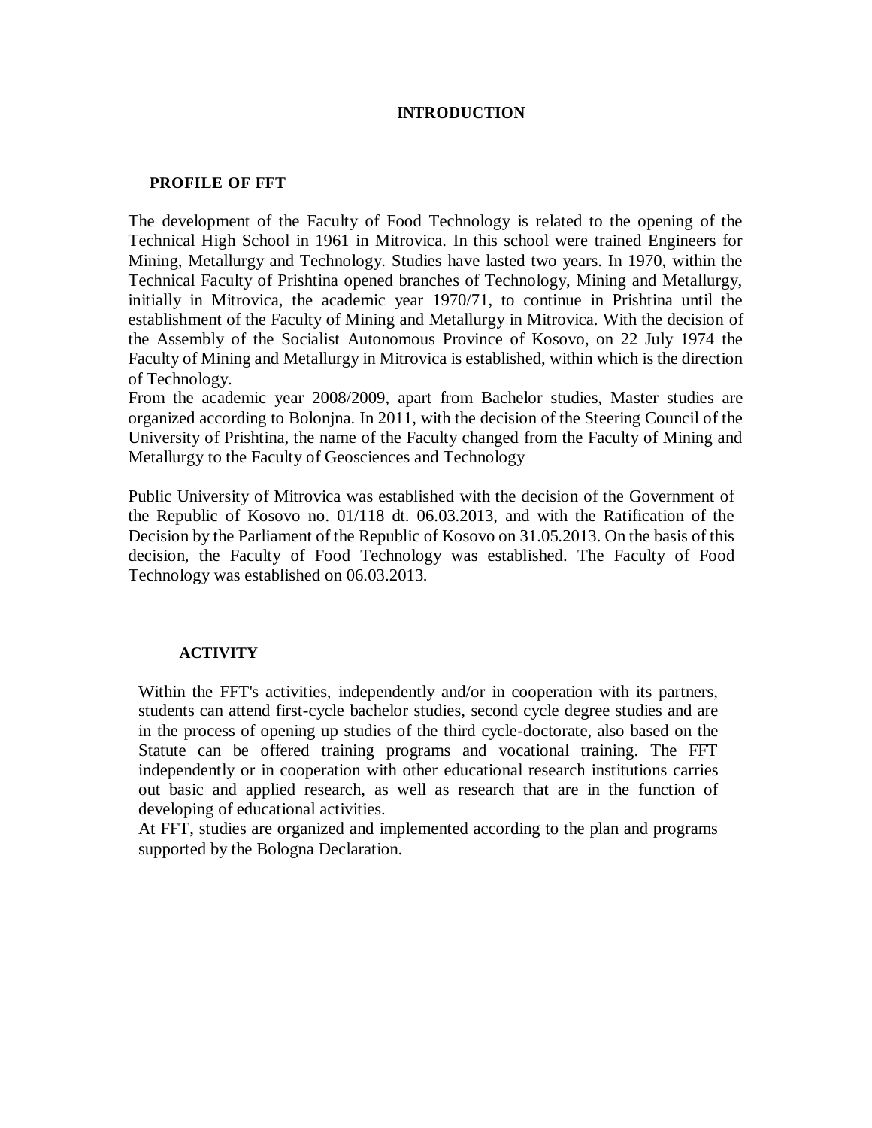### **INTRODUCTION**

#### **PROFILE OF FFT**

The development of the Faculty of Food Technology is related to the opening of the Technical High School in 1961 in Mitrovica. In this school were trained Engineers for Mining, Metallurgy and Technology. Studies have lasted two years. In 1970, within the Technical Faculty of Prishtina opened branches of Technology, Mining and Metallurgy, initially in Mitrovica, the academic year 1970/71, to continue in Prishtina until the establishment of the Faculty of Mining and Metallurgy in Mitrovica. With the decision of the Assembly of the Socialist Autonomous Province of Kosovo, on 22 July 1974 the Faculty of Mining and Metallurgy in Mitrovica is established, within which is the direction of Technology.

From the academic year 2008/2009, apart from Bachelor studies, Master studies are organized according to Bolonjna. In 2011, with the decision of the Steering Council of the University of Prishtina, the name of the Faculty changed from the Faculty of Mining and Metallurgy to the Faculty of Geosciences and Technology

Public University of Mitrovica was established with the decision of the Government of the Republic of Kosovo no. 01/118 dt. 06.03.2013, and with the Ratification of the Decision by the Parliament of the Republic of Kosovo on 31.05.2013. On the basis of this decision, the Faculty of Food Technology was established. The Faculty of Food Technology was established on 06.03.2013.

#### **ACTIVITY**

Within the FFT's activities, independently and/or in cooperation with its partners, students can attend first-cycle bachelor studies, second cycle degree studies and are in the process of opening up studies of the third cycle-doctorate, also based on the Statute can be offered training programs and vocational training. The FFT independently or in cooperation with other educational research institutions carries out basic and applied research, as well as research that are in the function of developing of educational activities.

At FFT, studies are organized and implemented according to the plan and programs supported by the Bologna Declaration.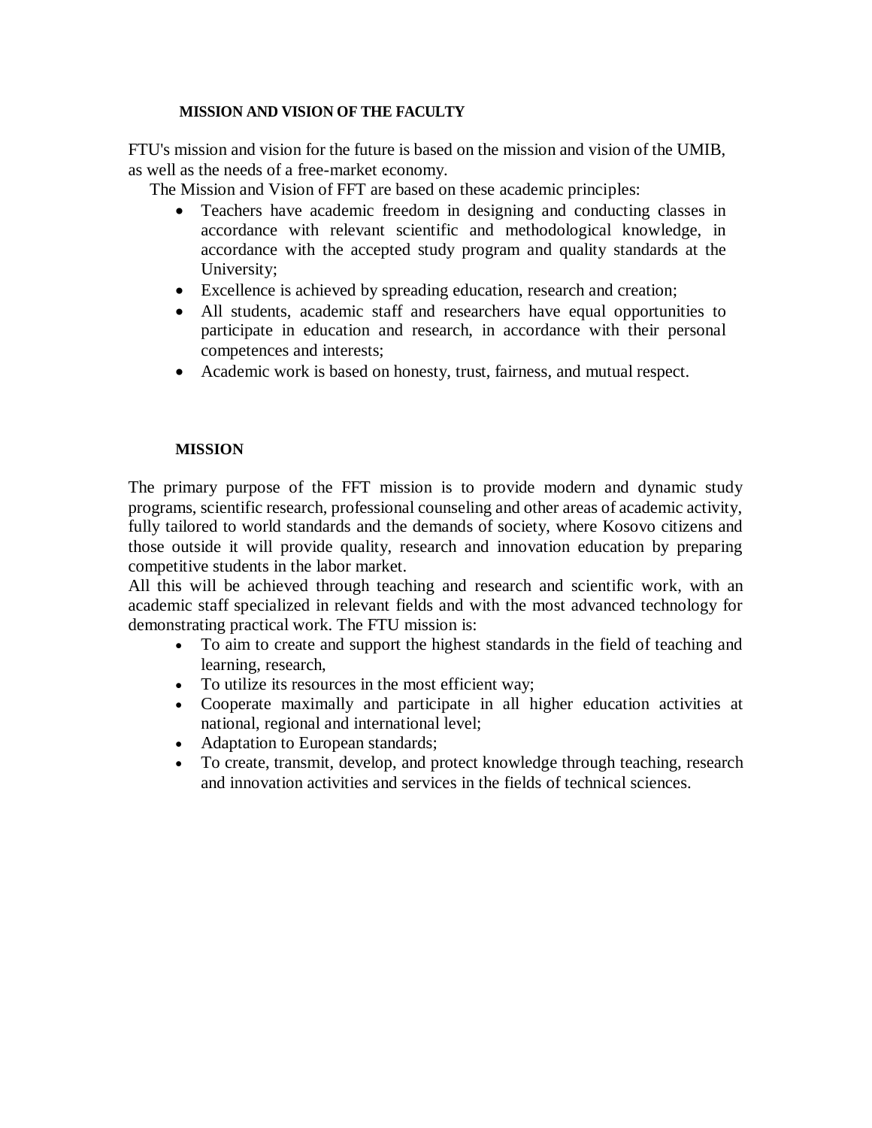### **MISSION AND VISION OF THE FACULTY**

FTU's mission and vision for the future is based on the mission and vision of the UMIB, as well as the needs of a free-market economy.

The Mission and Vision of FFT are based on these academic principles:

- Teachers have academic freedom in designing and conducting classes in accordance with relevant scientific and methodological knowledge, in accordance with the accepted study program and quality standards at the University;
- Excellence is achieved by spreading education, research and creation;
- All students, academic staff and researchers have equal opportunities to participate in education and research, in accordance with their personal competences and interests;
- Academic work is based on honesty, trust, fairness, and mutual respect.

# **MISSION**

The primary purpose of the FFT mission is to provide modern and dynamic study programs, scientific research, professional counseling and other areas of academic activity, fully tailored to world standards and the demands of society, where Kosovo citizens and those outside it will provide quality, research and innovation education by preparing competitive students in the labor market.

All this will be achieved through teaching and research and scientific work, with an academic staff specialized in relevant fields and with the most advanced technology for demonstrating practical work. The FTU mission is:

- To aim to create and support the highest standards in the field of teaching and learning, research,
- To utilize its resources in the most efficient way;
- Cooperate maximally and participate in all higher education activities at national, regional and international level;
- Adaptation to European standards;
- To create, transmit, develop, and protect knowledge through teaching, research and innovation activities and services in the fields of technical sciences.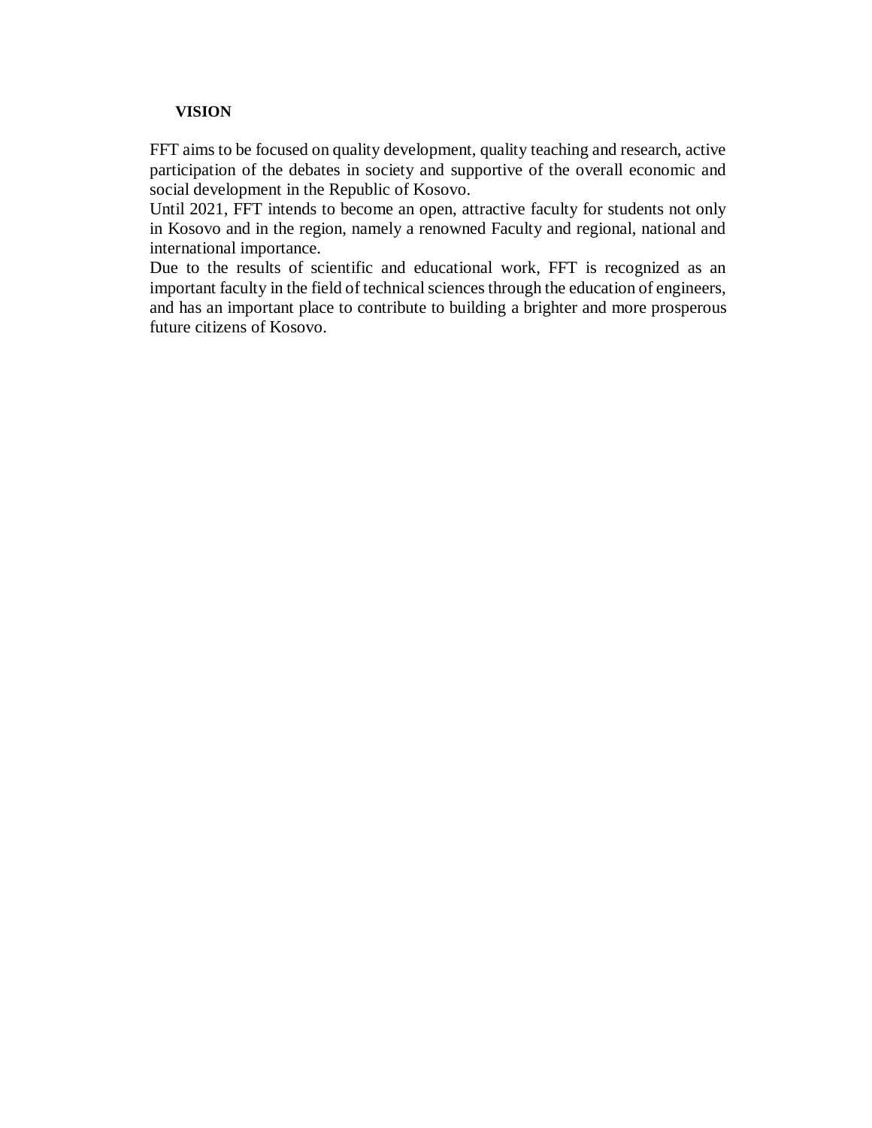### **VISION**

FFT aims to be focused on quality development, quality teaching and research, active participation of the debates in society and supportive of the overall economic and social development in the Republic of Kosovo.

Until 2021, FFT intends to become an open, attractive faculty for students not only in Kosovo and in the region, namely a renowned Faculty and regional, national and international importance.

Due to the results of scientific and educational work, FFT is recognized as an important faculty in the field of technical sciences through the education of engineers, and has an important place to contribute to building a brighter and more prosperous future citizens of Kosovo.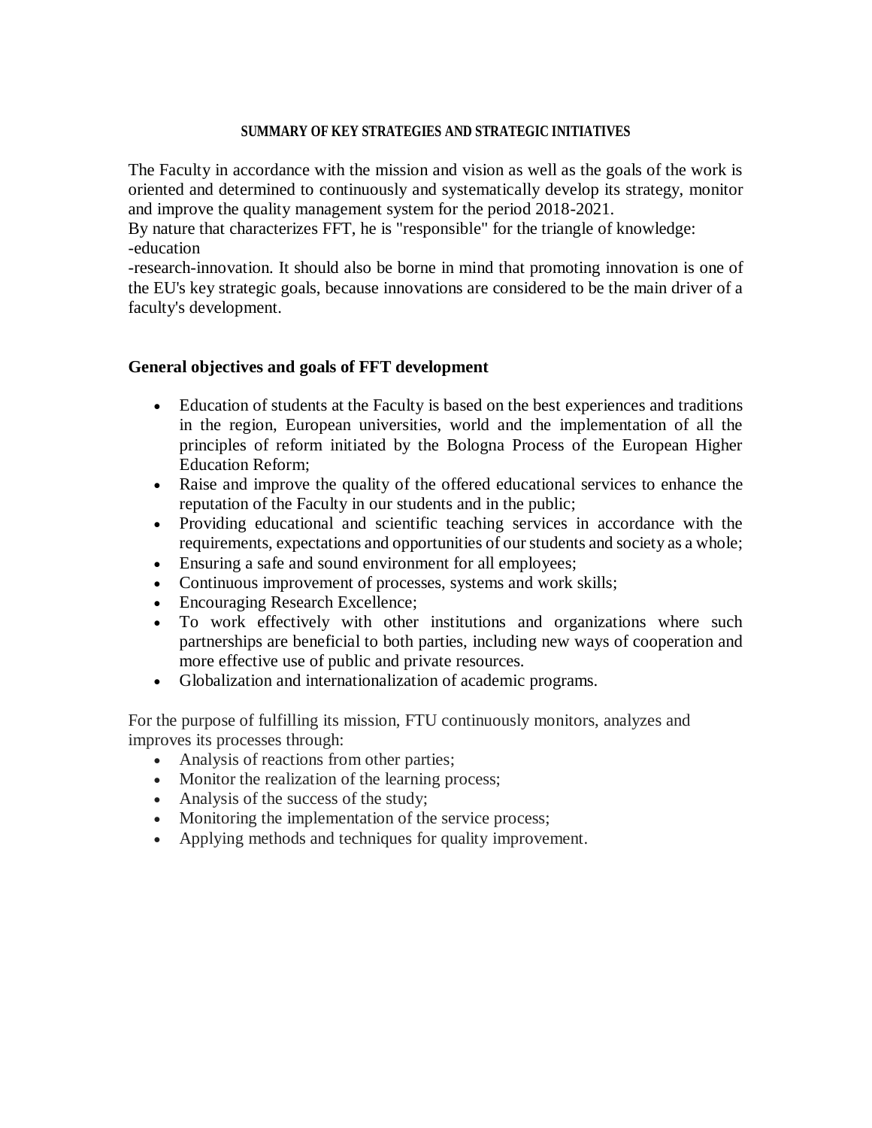#### **SUMMARY OF KEY STRATEGIES AND STRATEGIC INITIATIVES**

The Faculty in accordance with the mission and vision as well as the goals of the work is oriented and determined to continuously and systematically develop its strategy, monitor and improve the quality management system for the period 2018-2021.

By nature that characterizes FFT, he is "responsible" for the triangle of knowledge: -education

-research-innovation. It should also be borne in mind that promoting innovation is one of the EU's key strategic goals, because innovations are considered to be the main driver of a faculty's development.

# **General objectives and goals of FFT development**

- Education of students at the Faculty is based on the best experiences and traditions in the region, European universities, world and the implementation of all the principles of reform initiated by the Bologna Process of the European Higher Education Reform;
- Raise and improve the quality of the offered educational services to enhance the reputation of the Faculty in our students and in the public;
- Providing educational and scientific teaching services in accordance with the requirements, expectations and opportunities of our students and society as a whole;
- Ensuring a safe and sound environment for all employees;
- Continuous improvement of processes, systems and work skills;
- Encouraging Research Excellence;
- To work effectively with other institutions and organizations where such partnerships are beneficial to both parties, including new ways of cooperation and more effective use of public and private resources.
- Globalization and internationalization of academic programs.

For the purpose of fulfilling its mission, FTU continuously monitors, analyzes and improves its processes through:

- Analysis of reactions from other parties;
- Monitor the realization of the learning process;
- Analysis of the success of the study;
- Monitoring the implementation of the service process;
- Applying methods and techniques for quality improvement.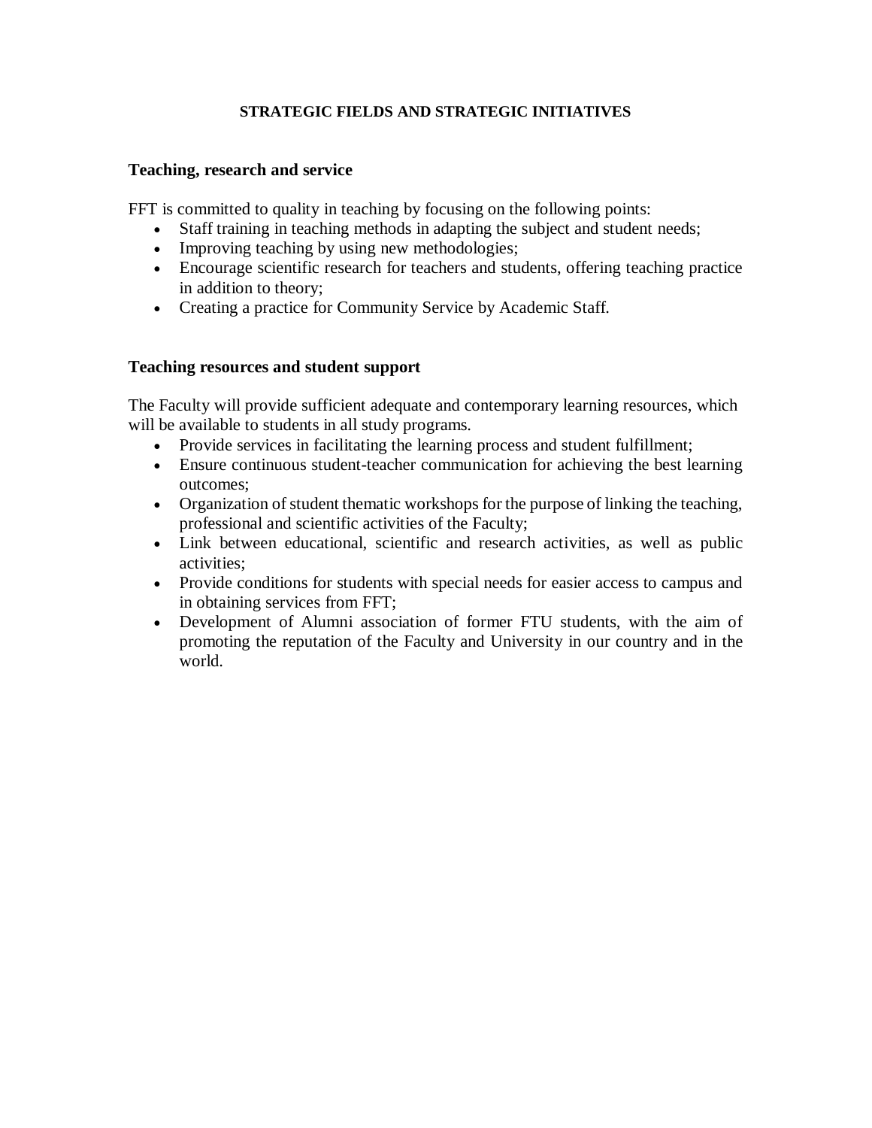# **STRATEGIC FIELDS AND STRATEGIC INITIATIVES**

# **Teaching, research and service**

FFT is committed to quality in teaching by focusing on the following points:

- Staff training in teaching methods in adapting the subject and student needs;
- Improving teaching by using new methodologies;
- Encourage scientific research for teachers and students, offering teaching practice in addition to theory;
- Creating a practice for Community Service by Academic Staff.

# **Teaching resources and student support**

The Faculty will provide sufficient adequate and contemporary learning resources, which will be available to students in all study programs.

- Provide services in facilitating the learning process and student fulfillment;
- Ensure continuous student-teacher communication for achieving the best learning outcomes;
- Organization of student thematic workshops for the purpose of linking the teaching, professional and scientific activities of the Faculty;
- Link between educational, scientific and research activities, as well as public activities;
- Provide conditions for students with special needs for easier access to campus and in obtaining services from FFT;
- Development of Alumni association of former FTU students, with the aim of promoting the reputation of the Faculty and University in our country and in the world.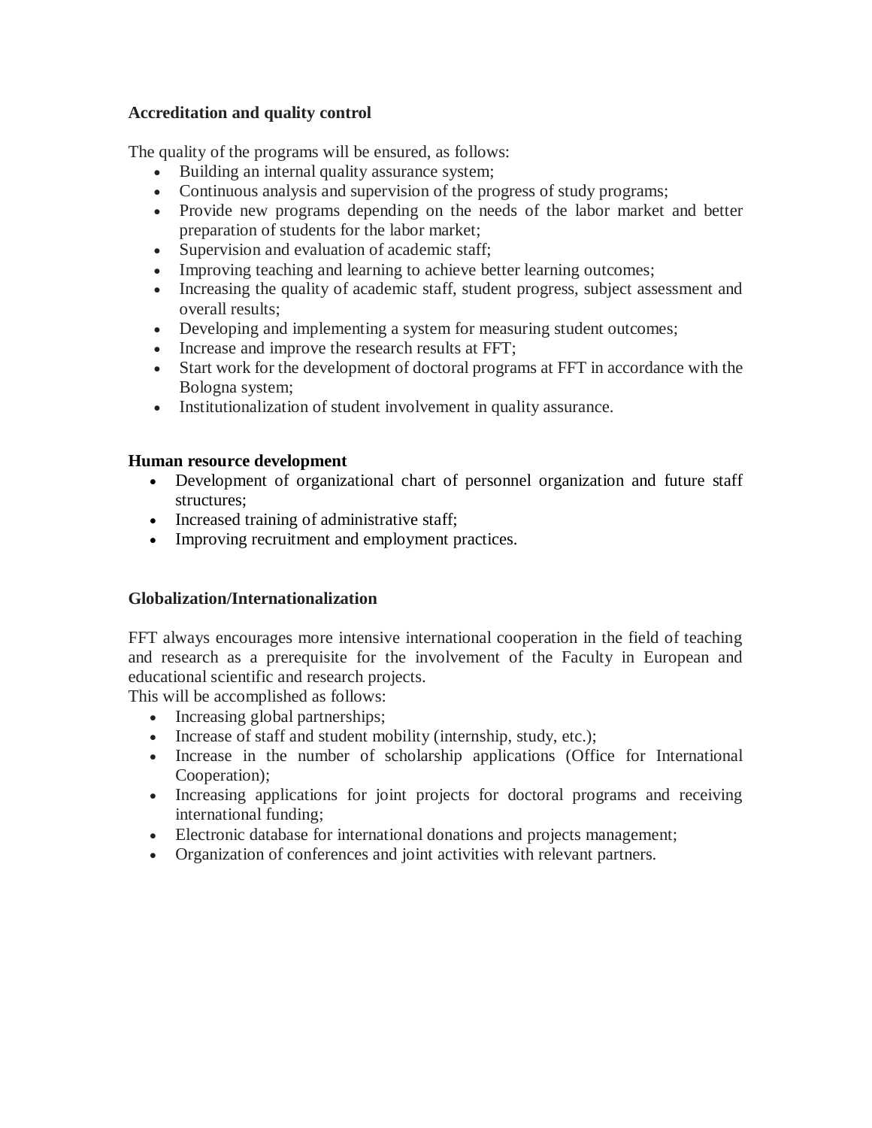# **Accreditation and quality control**

The quality of the programs will be ensured, as follows:

- Building an internal quality assurance system;
- Continuous analysis and supervision of the progress of study programs;
- Provide new programs depending on the needs of the labor market and better preparation of students for the labor market;
- Supervision and evaluation of academic staff;
- Improving teaching and learning to achieve better learning outcomes;
- Increasing the quality of academic staff, student progress, subject assessment and overall results;
- Developing and implementing a system for measuring student outcomes;
- Increase and improve the research results at FFT;
- Start work for the development of doctoral programs at FFT in accordance with the Bologna system;
- Institutionalization of student involvement in quality assurance.

# **Human resource development**

- Development of organizational chart of personnel organization and future staff structures;
- Increased training of administrative staff;
- Improving recruitment and employment practices.

# **Globalization/Internationalization**

FFT always encourages more intensive international cooperation in the field of teaching and research as a prerequisite for the involvement of the Faculty in European and educational scientific and research projects.

This will be accomplished as follows:

- Increasing global partnerships;
- Increase of staff and student mobility (internship, study, etc.);
- Increase in the number of scholarship applications (Office for International Cooperation);
- Increasing applications for joint projects for doctoral programs and receiving international funding;
- Electronic database for international donations and projects management;
- Organization of conferences and joint activities with relevant partners.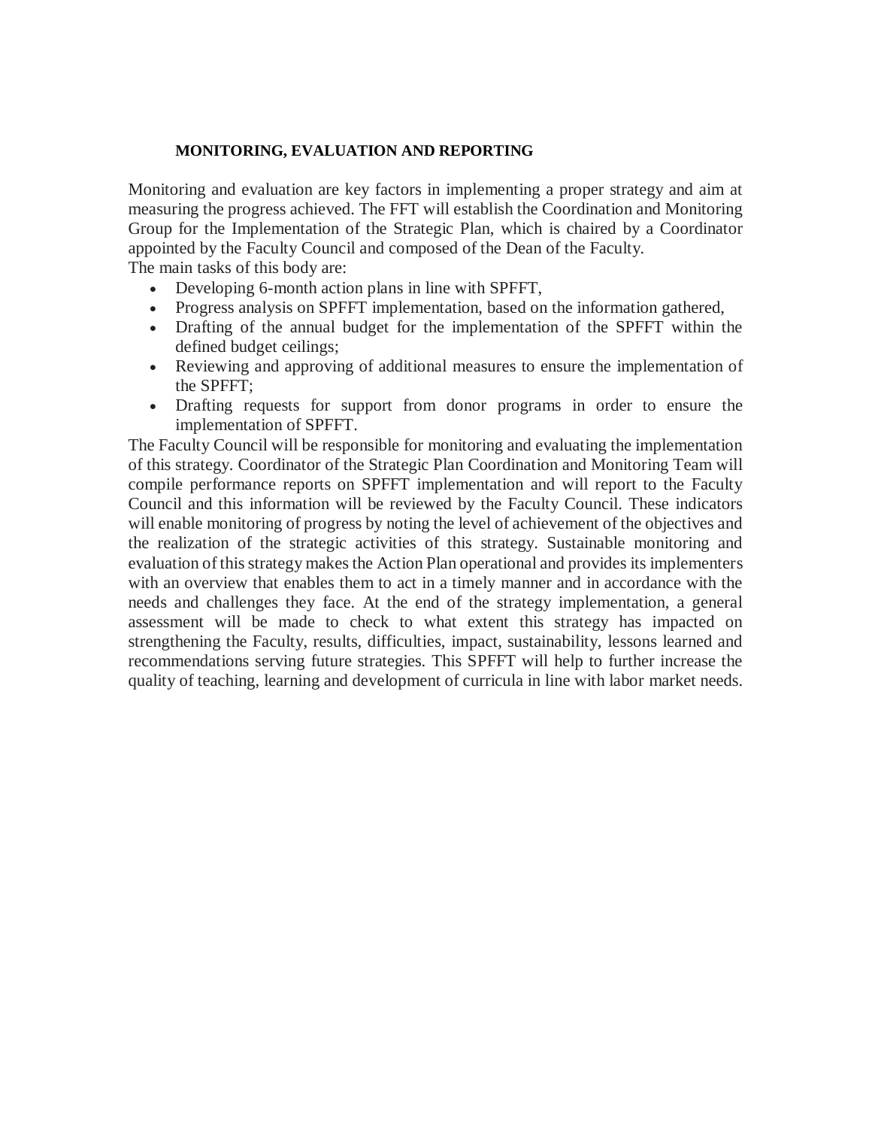#### **MONITORING, EVALUATION AND REPORTING**

Monitoring and evaluation are key factors in implementing a proper strategy and aim at measuring the progress achieved. The FFT will establish the Coordination and Monitoring Group for the Implementation of the Strategic Plan, which is chaired by a Coordinator appointed by the Faculty Council and composed of the Dean of the Faculty. The main tasks of this body are:

- Developing 6-month action plans in line with SPFFT,
- Progress analysis on SPFFT implementation, based on the information gathered,
- Drafting of the annual budget for the implementation of the SPFFT within the defined budget ceilings;
- Reviewing and approving of additional measures to ensure the implementation of the SPFFT;
- Drafting requests for support from donor programs in order to ensure the implementation of SPFFT.

The Faculty Council will be responsible for monitoring and evaluating the implementation of this strategy. Coordinator of the Strategic Plan Coordination and Monitoring Team will compile performance reports on SPFFT implementation and will report to the Faculty Council and this information will be reviewed by the Faculty Council. These indicators will enable monitoring of progress by noting the level of achievement of the objectives and the realization of the strategic activities of this strategy. Sustainable monitoring and evaluation of this strategy makes the Action Plan operational and provides its implementers with an overview that enables them to act in a timely manner and in accordance with the needs and challenges they face. At the end of the strategy implementation, a general assessment will be made to check to what extent this strategy has impacted on strengthening the Faculty, results, difficulties, impact, sustainability, lessons learned and recommendations serving future strategies. This SPFFT will help to further increase the quality of teaching, learning and development of curricula in line with labor market needs.